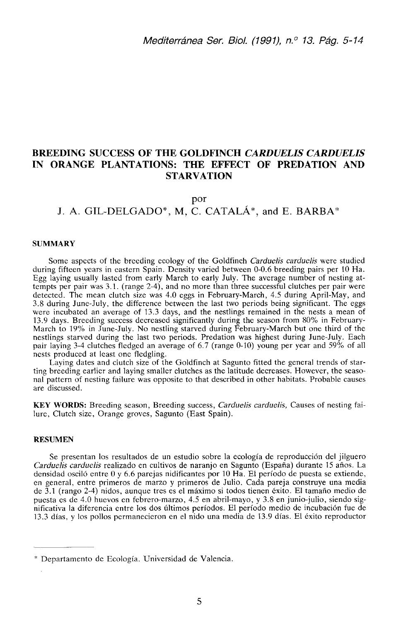# **BREEDING SUCCESS OF THE GOLDFINCH** *CARDUELIS CARDUELIS*  **IN ORANGE PLANTATIONS: THE EFFECT OF PREDATION AND STARVATION**

### por

# J. A. GIL-DELGADO\*, M. C. CATALÁ\*, and E. BARBA\*

#### **SUMMARY**

Some aspects of the breeding ecology of the Goldfinch *Carduelis carduelis* were studied during fifteen years in eastern Spain. Density varied between 0-0.6 breeding pairs per 10 Ha. Egg laying usually lasted from early March to early July. The average number of nesting attempts per pair was 3.1. (range 2-4), and no more than three successful clutches per pair were detected. The mean clutch size was 4.0 eggs in February-March, 4.5 during April-May, and 3.8 during June-July, the difference between the last two periods being significant. The eggs were incubated an average of 13.3 days, and the nestlings remained in the nests a mean of 13.9 days. Breeding success decreased significantly during the season from 80% in February-March to 19% in June-July. No nestling starved during February-March but one third of the nestlings starved during the last two periods. Predation was highest during June-July. Each pair laying 3-4 clutches fledged an average of 6.7 (range 0-10) young per year and 59% of all nests produced at least one fledgling.

Laying dates and clutch size of the Goldfinch at Sagunto fitted the general trends of starting breeding earlier and laying smaller clutches as the latitude decreases. However, the seasonal pattern of nesting failure was opposite to that described in other habitats. Probable causes are discussed.

**KEY WORDS:** Breeding season, Breeding success, *Carduelis carduelis,* Causes of nesting failure, Clutch size, Orange groves, Sagunto (East Spain).

#### **RESUMEN**

Se presentan los resultados de un estudio sobre la ecología de reproducción del jilguero *Carduelis carduelis* realizado en cultivos de naranjo en Sagunto (España) durante 15 años. La densidad osciló entre 0 y 6.6 parejas nidificantes por 10 Ha. El período de puesta se extiende, en general, entre primeros de marzo y primeros de Julio. Cada pareja construye una media de 3.1 (rango 2-4) nidos, aunque tres es el máximo si todos tienen éxito. El tamaño medio de puesta es de 4.0 huevos en febrero-marzo, 4.5 en abril-mayo, y 3.8 en junio-julio, siendo significativa la diferencia entre los dos últimos períodos. El período medio de incubación fue de 13.3 días, y los pollos permanecieron en el nido una media de 13.9 días. El éxito reproductor

<sup>\*</sup> Departamento de Ecología. Universidad de Valencia.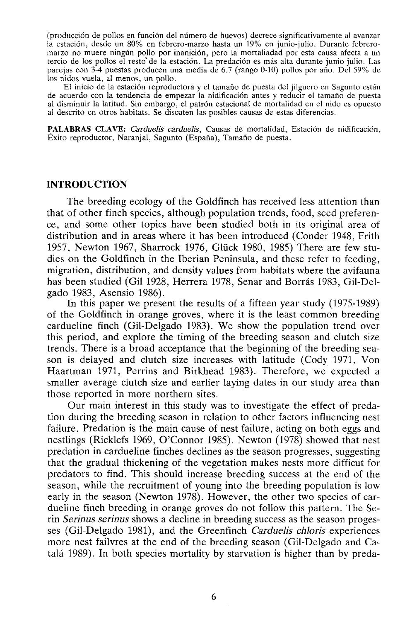(producción de pollos en función del número de huevos) decrece significativamente al avanzar la estación, desde un 80% en febrero-marzo hasta un 19% en junio-julio. Durante febreromarzo no muere ningún pollo por inanición, pero la mortaliadad por esta causa afecta a un tercio de los pollos el resto'de la estación. La predación es más alta durante junio-julio. Las parejas con 3-4 puestas producen una media de 6.7 (rango 0-10) pollos por año. Del 59% de los nidos vuela, al menos, un pollo.

El inicio de la estación reproductora y el tamaño de puesta del jilguero en Sagunto están de acuerdo con la tendencia de empezar la nidificación antes y reducir el tamaño de puesta al disminuir la latitud. Sin embargo, el patrón estacional de mortalidad en el nido es opuesto al descrito en otros habitats. Se discuten las posibles causas de estas diferencias.

PALABRAS CLAVE: *Carduelis carduelis,* Causas de mortalidad, Estación de nidificación, Éxito reproductor, Naranjal, Sagunto (España), Tamaño de puesta.

### **INTRODUCTION**

The breeding ecology of the Goldfinch has received less attention than that of other finch species, although population trends, food, seed preference, and some other topics have been studied both in its original área of distribution and in áreas where it has been introduced (Conder 1948, Frith 1957, Newton 1967, Sharrock 1976, Glück 1980, 1985) There are few studies on the Goldfinch in the Iberian Península, and these refer to feeding, migration, distribution, and density values from habitats where the avifauna has been studied (Gil 1928, Herrera 1978, Senar and Borrás 1983, Gil-Delgado 1983, Asensio 1986).

In this paper we present the results of a fifteen year study (1975-1989) of the Goldfinch in orange groves, where it is the least common breeding cardueline finch (Gil-Delgado 1983). We show the population trend over this period, and explore the timing of the breeding season and clutch size trends. There is a broad acceptance that the beginning of the breeding season is delayed and clutch size increases with latitude (Cody 1971, Von Haartman 1971, Perrins and Birkhead 1983). Therefore, we expected a smaller average clutch size and earlier laying dates in our study area than those reported in more northern sites.

Our main interest in this study was to investígate the effect of predation during the breeding season in relation to other factors influencing nest failure. Predation is the main cause of nest failure, acting on both eggs and nestlings (Ricklefs 1969, O'Connor 1985). Newton (1978) showed that nest predation in cardueline finches declines as the season progresses, suggesting that the gradual thickening of the vegetation makes nests more difficut for predators to find. This should increase breeding success at the end of the season, while the recruitment of young into the breeding population is low early in the season (Newton 1978). However, the other two species of cardueline finch breeding in orange groves do not follow this pattern. The Serin *Serinus serinus* shows a decline in breeding success as the season progesses (Gil-Delgado 1981), and the Greenfinch *Carduelis chloris* experiences more nest failvres at the end of the breeding season (Gil-Delgado and Catala 1989). In both species mortality by starvation is higher than by preda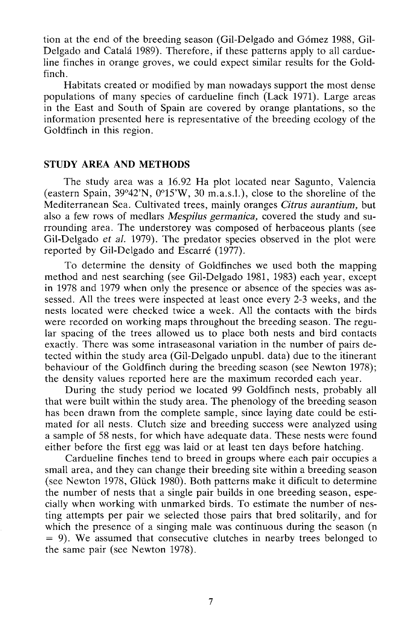tion at the end of the breeding season (Gil-Delgado and Gómez 1988, Gil-Delgado and Catalá 1989). Therefore, if these patterns apply to all cardueline finches in orange groves, we could expect similar results for the Goldfinch.

Habitats created or modified by man nowadays support the most dense populations of many species of cardueline finch (Lack 1971). Large areas in the East and South of Spain are covered by orange plantations, so the information presented here is representative of the breeding ecology of the Goldfinch in this region.

# **STUDY ÁREA AND METHODS**

The study area was a 16.92 Ha plot located near Sagunto, Valencia (eastern Spain, 39°42'N, 0°15'W, 30 m.a.s.l.), cióse to the shoreline of the Mediterranean Sea. Cultivated trees, mainly oranges *Citrus aurantium,* but also a few rows of medlars *Mespilus germánica,* covered the study and surrounding área. The understorey was composed of herbaceous plants (see Gil-Delgado *et al.* 1979). The predator species observed in the plot were reported by Gil-Delgado and Escarré (1977).

To determine the density of Goldfinches we used both the mapping method and nest searching (see Gil-Delgado 1981, 1983) each year, except in 1978 and 1979 when only the presence or absence of the species was assessed. All the trees were inspected at least once every 2-3 weeks, and the nests located were checked twice a week. All the contacts with the birds were recorded on working maps throughout the breeding season. The regular spacing of the trees allowed us to place both nests and bird contacts exactly. There was some intraseasonal variation in the number of pairs detected within the study área (Gil-Delgado unpubl. data) due to the itinerant behaviour of the Goldfinch during the breeding season (see Newton 1978); the density values reported here are the maximum recorded each year.

During the study period we located 99 Goldfinch nests, probably all that were built within the study área. The phenology of the breeding season has been drawn from the complete sample, since laying date could be estimated for all nests. Clutch size and breeding success were analyzed using a sample of 58 nests, for which have adequate data. These nests were found either before the first egg was laid or at least ten days before hatching.

Cardueline finches tend to breed in groups where each pair occupies a small área, and they can change their breeding site within a breeding season (see Newton 1978, Glück 1980). Both patterns make it dificult to determine the number of nests that a single pair builds in one breeding season, especially when working with unmarked birds. To estímate the number of nesting attempts per pair we selected those pairs that bred solitarily, and for which the presence of a singing male was continuous during the season (n  $= 9$ ). We assumed that consecutive clutches in nearby trees belonged to the same pair (see Newton 1978).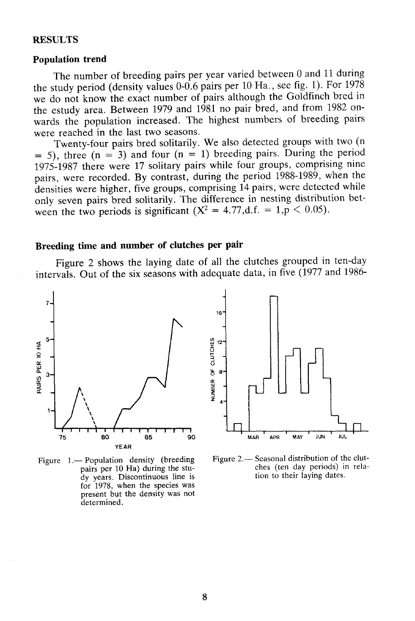## **RESULTS**

# **Population trend**

The number of breeding pairs per year varied between 0 and 11 during the study period (density valúes 0-0.6 pairs per 10 Ha., see fig. 1). For 1978 we do not know the exact number of pairs although the Goldfinch bred in the estudy área. Between 1979 and 1981 no pair bred, and from 1982 onwards the population increased. The highest numbers of breeding pairs were reached in the last two seasons.

Twenty-four pairs bred solitarily. We also detected groups with two (n  $= 5$ ), three (n = 3) and four (n = 1) breeding pairs. During the period 1975-1987 there were 17 solitary pairs while four groups, comprising nine pairs, were recorded. By contrast, during the period 1988-1989, when the densities were higher, five groups, comprising 14 pairs, were detected while only seven pairs bred solitarily. The difference in nesting distribution between the two periods is significant  $(X^2 = 4.77,d.f. = 1, p < 0.05)$ .

### **Breeding time and number of clutches per pair**

Figure 2 shows the laying date of all the clutches grouped in ten-day intervals. Out of the six seasons with adequate data, in five (1977 and 1986-



Figure 1.— Population density (breeding pairs per 10 Ha) during the study years. Discontinuous line is for 1978, when the species was present but the density was not determined.



Figure 2.— Seasonal distribution of the clutches (ten day periods) in relation to their laying dates.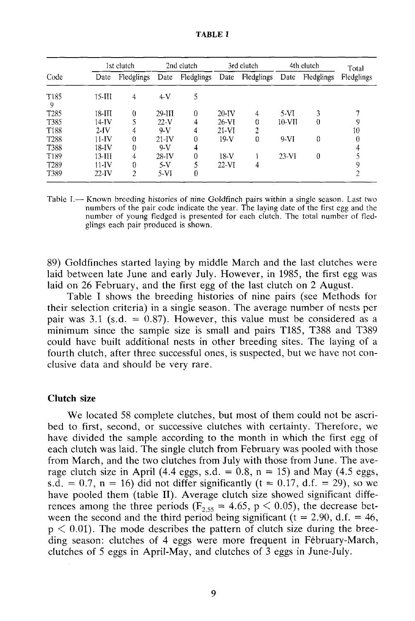|                       | 1st clutch |                | 2nd clutch |            | 3rd clutch |            | 4th clutch |            | Total      |  |
|-----------------------|------------|----------------|------------|------------|------------|------------|------------|------------|------------|--|
| Code                  | Date       | Fledglings     | Date       | Fledglings | Date       | Fledglings | Date       | Fledglings | Fledglings |  |
| T <sub>185</sub><br>9 | $15 - III$ | 4              | $4-V$      | 5          |            |            |            |            |            |  |
| T <sub>285</sub>      | $18 - H$   | 0              | $29-III$   | 0          | $20-IV$    | 4          | $5-VI$     | 3          |            |  |
| T385                  | 14-IV      |                | $22-V$     | 4          | $26-VI$    | 0          | 10-VII     | 0          | 9          |  |
| T188                  | $2$ -IV    | 4              | $9-V$      | 4          | $21-VI$    | 2          |            |            | 10         |  |
| T <sub>288</sub>      | 11-IV      | 0              | $21-IV$    | 0          | $19-V$     | 0          | $9-VI$     | 0          | $\theta$   |  |
| T388                  | 18-IV      | 0              | $9-V$      | 4          |            |            |            |            |            |  |
| T189                  | $13-III$   | 4              | $28-IV$    | 0          | $18-V$     |            | $23-VI$    | $\theta$   |            |  |
| T <sub>289</sub>      | $11-IV$    | 0              | $5-V$      |            | $22-VI$    | 4          |            |            |            |  |
| T389                  | $22-IV$    | $\mathfrak{I}$ | 5-VI       | 0          |            |            |            |            |            |  |

TABLE I

Table I.— Known breeding histories of nine Goldfinch pairs within a single season. Last two numbers of the pair code indícate the year. The laying date of the first egg and the number of young fledged is presented for each clutch. The total number of fledglings each pair produced is shown.

89) Goldfinches started laying by middle March and the last clutches were laid between late June and early July. However, in 1985, the first egg was laid on 26 February, and the first egg of the last clutch on 2 August.

Table I shows the breeding histories of nine pairs (see Methods for their selection criteria) in a single season. The average number of nests per pair was 3.1 (s.d. =  $0.87$ ). However, this value must be considered as a minimum since the sample size is small and pairs T185, T388 and T389 could have built additional nests in other breeding sites. The laying of a fourth clutch, after three successful ones, is suspected, but we have not conclusive data and should be very rare.

### **Clutch** size

We located 58 complete clutches, but most of them could not be ascribed to first, second, or successive clutches with certainty. Therefore, we have divided the sample according to the month in which the first egg of each clutch was laid. The single clutch from February was pooled with those from March, and the two clutches from July with those from June. The average clutch size in April (4.4 eggs, s.d. =  $0.8$ , n = 15) and May (4.5 eggs, s.d. = 0.7, n = 16) did not differ significantly (t = 0.17, d.f. = 29), so we have pooled them (table II). Average clutch size showed significant differences among the three periods ( $F_{255} = 4.65$ , p  $\lt$  0.05), the decrease between the second and the third period being significant ( $t = 2.90$ , d.f. = 46,  $p < 0.01$ ). The mode describes the pattern of clutch size during the breeding season: clutches of 4 eggs were more frequent in Fébruary-March, clutches of 5 eggs in April-May, and clutches of 3 eggs in June-July.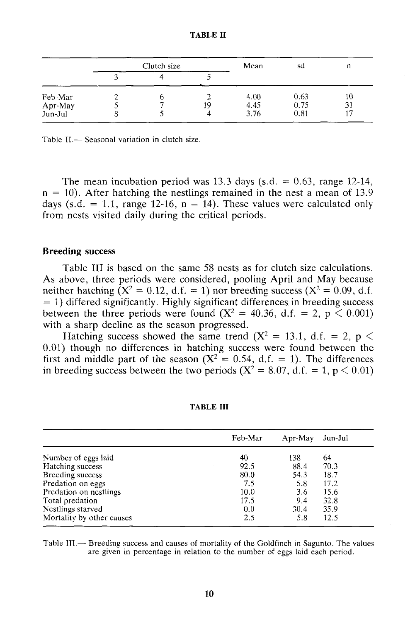| A RI . |  |
|--------|--|
|--------|--|

|                    | Clutch size |  |    | Mean         | sd           | п        |
|--------------------|-------------|--|----|--------------|--------------|----------|
|                    |             |  |    |              |              |          |
| Feb-Mar<br>Apr-May |             |  | 19 | 4.00<br>4.45 | 0.63<br>0.75 | 10<br>31 |
| Jun-Jul            |             |  | Δ  | 3.76         | 0.81         |          |

Table II.— Seasonal variation in clutch size.

The mean incubation period was 13.3 days (s.d.  $= 0.63$ , range 12-14,  $n = 10$ ). After hatching the nestlings remained in the nest a mean of 13.9 days (s.d. = 1.1, range 12-16,  $n = 14$ ). These values were calculated only from nests visited daily during the critical periods.

#### **Breeding success**

Table III is based on the same 58 nests as for clutch size calculations. As above, three periods were considered, pooling April and May because neither hatching  $(X^2 = 0.12, d.f. = 1)$  nor breeding success  $(X^2 = 0.09, d.f.$  $=$  1) differed significantly. Highly significant differences in breeding success between the three periods were found  $(X^2 = 40.36, d.f. = 2, p \le 0.001)$ with a sharp decline as the season progressed.

Hatching success showed the same trend ( $X^2 = 13.1$ , d.f. = 2, p < 0.01) though no differences in hatching success were found between the first and middle part of the season ( $X^2 = 0.54$ , d.f. = 1). The differences in breeding success between the two periods  $(X^2 = 8.07, d.f. = 1, p < 0.01)$ 

|                           | Feb-Mar | Apr-May | Jun-Jul |
|---------------------------|---------|---------|---------|
| Number of eggs laid       | 40      | 138     | 64      |
| Hatching success          | 92.5    | 88.4    | 70.3    |
| Breeding success          | 80.0    | 54.3    | 18.7    |
| Predation on eggs         | 7.5     | 5.8     | 17.2    |
| Predation on nestlings    | 10.0    | 3.6     | 15.6    |
| Total predation           | 17.5    | 9.4     | 32.8    |
| Nestlings starved         | 0.0     | 30.4    | 35.9    |
| Mortality by other causes | 2.5     | 5.8     | 12.5    |

#### **TABLE III**

Table III.— Breeding success and causes of mortality of the Goldfinch in Sagunto. The valúes are given in percentage in relation to the number of eggs laid each period.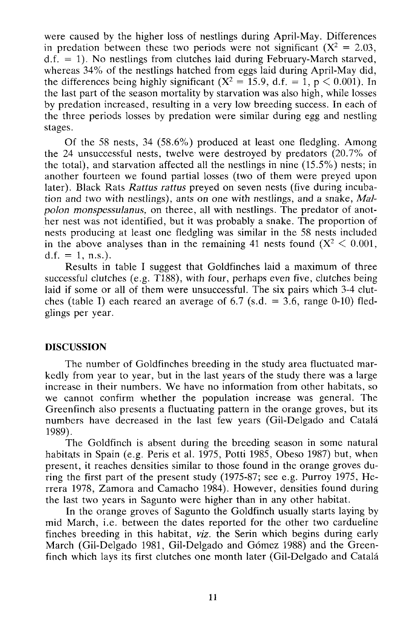were caused by the higher loss of nestlings during April-May. Differences in predation between these two periods were not significant  $(X^2 = 2.03,$  $d.f. = 1$ ). No nestlings from clutches laid during February-March starved, whereas 34% of the nestlings hatched from eggs laid during April-May did, the differences being highly significant  $(X^2 = 15.9, d.f. = 1, p < 0.001)$ . In the last part of the season mortality by starvation was also high, while losses by predation increased, resulting in a very low breeding success. In each of the three periods losses by predation were similar during egg and nestling stages.

Of the 58 nests, 34 (58.6%) produced at least one fledgling. Among the 24 unsuccessful nests, twelve were destroyed by predators (20.7% of the total), and starvation affected all the nestlings in nine (15.5%) nests; in another fourteen we found partial losses (two of them were preyed upon later). Black Rats *Rattus rattus* preyed on seven nests (five during incubation and two with nestlings), ants on one with nestlings, and a snake, *Malpolon monspessulanus,* on theree, all with nestlings. The predator of another nest was not identified, but it was probably a snake. The proportion of nests producing at least one fledgling was similar in the 58 nests included in the above analyses than in the remaining 41 nests found  $(X^2 < 0.001$ , d.f. = 1, n.s.).

Results in table I suggest that Goldfinches laid a maximum of three successful clutches (e.g. T188), with four, perhaps even five, clutches being laid if some or all of them were unsuccessful. The six pairs which 3-4 clutches (table I) each reared an average of 6.7 (s.d.  $=$  3.6, range 0-10) fledglings per year.

# **DISCUSSION**

The number of Goldfinches breeding in the study area fluctuated markedly from year to year, but in the last years of the study there was a large increase in their numbers. We have no information from other habitats, so we cannot confirm whether the population increase was general. The Greenfinch also presents a fluctuating pattern in the orange groves, but its numbers have decreased in the last few years (Gil-Delgado and Catalá 1989).

The Goldfinch is absent during the breeding season in some natural habitats in Spain (e.g. Peris et al. 1975, Potti 1985, Obeso 1987) but, when present, it reaches densities similar to those found in the orange groves during the first part of the present study (1975-87; see e.g. Purroy 1975, Herrera 1978, Zamora and Camacho 1984). However, densities found during the last two years in Sagunto were higher than in any other habitat.

In the orange groves of Sagunto the Goldfinch usually starts laying by mid March, i.e. between the dates reported for the other two cardueline finches breeding in this habitat, *viz.* the Serin which begins during early March (Gil-Delgado 1981, Gil-Delgado and Gómez 1988) and the Greenfinch which lays its first clutches one month later (Gil-Delgado and Catalá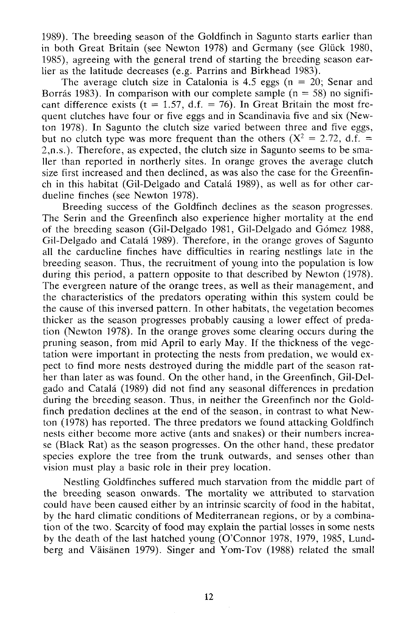1989). The breeding season of the Goldfinch in Sagunto starts earlier than in both Great Britain (see Newton 1978) and Germany (see Glück 1980, 1985), agreeing with the general trend of starting the breeding season earlier as the latitude decreases (e.g. Parrins and Birkhead 1983).

The average clutch size in Catalonia is 4.5 eggs ( $n = 20$ ; Senar and Borrás 1983). In comparison with our complete sample  $(n = 58)$  no significant difference exists  $(t = 1.57, d.f. = 76)$ . In Great Britain the most frequent clutches have four or five eggs and in Scandinavia five and six (Newton 1978). In Sagunto the clutch size varied between three and five eggs, but no clutch type was more frequent than the others ( $X^2 = 2.72$ , d.f. = 2,n.s.). Therefore, as expected, the clutch size in Sagunto seems to be sma-11er than reported in northerly sites. In orange groves the average clutch size first increased and then declined, as was also the case for the Greenfinch in this habitat (Gil-Delgado and Cátala 1989), as well as for other cardueline finches (see Newton 1978).

Breeding success of the Goldfinch declines as the season progresses. The Serin and the Greenfinch also experience higher mortality at the end of the breeding season (Gil-Delgado 1981, Gil-Delgado and Gómez 1988, Gil-Delgado and Catalá 1989). Therefore, in the orange groves of Sagunto all the cardueline finches have difficulties in rearing nestlings late in the breeding season. Thus, the recruitment of young into the population is low during this period, a pattern opposite to that described by Newton (1978). The evergreen nature of the orange trees, as well as their management, and the characteristics of the predators operating within this system could be the cause of this inversed pattern. In other habitats, the vegetation becomes thicker as the season progresses probably causing a lower effect of predation (Newton 1978). In the orange groves some clearing occurs during the pruning season, from mid April to early May. If the thickness of the vegetation were important in protecting the nests from predation, we would expect to find more nests destroyed during the middle part of the season rather than later as was found. On the other hand, in the Greenfinch, Gil-Delgado and Cátala (1989) did not find any seasonal differences in predation during the breeding season. Thus, in neither the Greenfinch nor the Goldfinch predation declines at the end of the season, in contrast to what Newton (1978) has reported. The three predators we found attacking Goldfinch nests either become more active (ants and snakes) or their numbers increase (Black Rat) as the season progresses. On the other hand, these predator species explore the tree from the trunk outwards, and senses other than visión must play a basic role in their prey location.

Nestling Goldfinches suffered much starvation from the middle part of the breeding season onwards. The mortality we attributed to starvation could have been caused either by an intrinsic scarcity of food in the habitat, by the hard climatic conditions of Mediterranean regions, or by a combination of the two. Scarcity of food may explain the partial losses in some nests by the death of the last hatched young (O'Connor 1978, 1979, 1985, Lundberg and Váisánen 1979). Singer and Yom-Tov (1988) related the small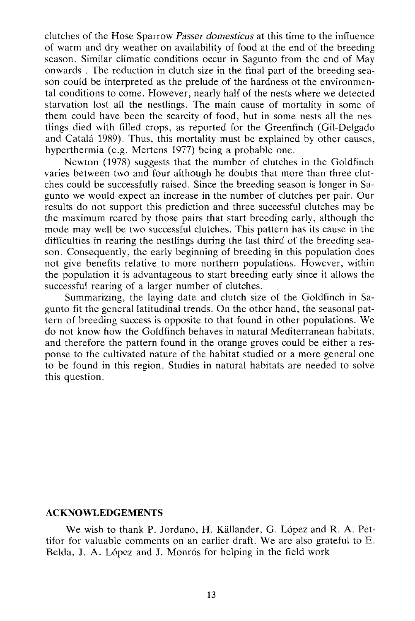clutches of the Hose Sparrow *Passer domesticus* at this time to the influence of warm and dry weather on availability of food at the end of the breeding season. Similar climatic conditions occur in Sagunto from the end of May onwards . The reduction in clutch size in the final part of the breeding season could be interpreted as the prelude of the hardness ot the environmental conditions to come. However, nearly half of the nests where we detected starvation lost all the nestlings. The main cause of mortality in some of them could have been the scarcity of food, but in some nests all the nestlings died with filled crops, as reported for the Greenfinch (Gil-Delgado and Cátala 1989). Thus, this mortality must be explained by other causes, hyperthermia (e.g. Mertens 1977) being a probable one.

Newton (1978) suggests that the number of clutches in the Goldfinch varies between two and four although he doubts that more than three clutches could be successfully raised. Since the breeding season is longer in Sagunto we would expect an increase in the number of clutches per pair. Our results do not support this prediction and three successful clutches may be the maximum reared by those pairs that start breeding early, although the mode may well be two successful clutches. This pattern has its cause in the difficulties in rearing the nestlings during the last third of the breeding season. Consequently, the early beginning of breeding in this population does not give benefits relative to more northern populations. However, within the population it is advantageous to start breeding early since it allows the successful rearing of a larger number of clutches.

Summarizing, the laying date and clutch size of the Goldfinch in Sagunto fit the general latitudinal trends. On the other hand, the seasonal pattern of breeding success is opposite to that found in other populations. We do not know how the Goldfinch behaves in natural Mediterranean habitats, and therefore the pattern found in the orange groves could be either a response to the cultivated nature of the habitat studied or a more general one to be found in this región. Studies in natural habitats are needed to solve this question.

## **ACKNOWLEDGEMENTS**

We wish to thank P. Jordano, H. Kállander, G. López and R. A. Pettifor for valuable comments on an earlier draft. We are also grateful to E. Belda, J. A. López and J. Monrós for helping in the field work